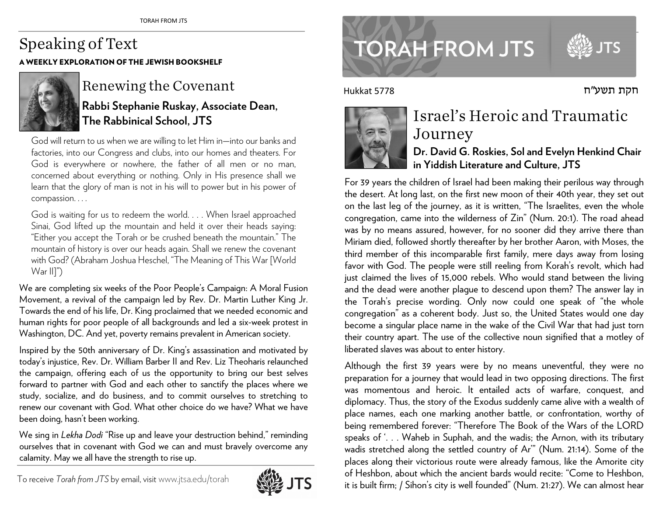## Speaking of Text A WEEKLY EXPLORATION OF THE JEWISH BOOKSHELF



## Renewing the Covenant

**Rabbi Stephanie Ruskay, Associate Dean,The Rabbinical School, JTS**

God will return to us when we are willing to let Him in—into our banks and factories, into our Congress and clubs, into our homes and theaters. For God is everywhere or nowhere, the father of all men or no man, concerned about everything or nothing. Only in His presence shall we learn that the glory of man is not in his will to power but in his power ofcompassion. . . .

God is waiting for us to redeem the world. . . . When Israel approached Sinai, God lifted up the mountain and held it over their heads saying: "Either you accept the Torah or be crushed beneath the mountain." The mountain of history is over our heads again. Shall we renew the covenant with God? (Abraham Joshua Heschel, "The Meaning of This War [WorldWar II]")

We are completing six weeks of the Poor People's Campaign: A Moral Fusion Movement, a revival of the campaign led by Rev. Dr. Martin Luther King Jr. Towards the end of his life, Dr. King proclaimed that we needed economic and human rights for poor people of all backgrounds and led a six-week protest inWashington, DC. And yet, poverty remains prevalent in American society.

Inspired by the 50th anniversary of Dr. King's assassination and motivated by today's injustice, Rev. Dr. William Barber II and Rev. Liz Theoharis relaunched the campaign, offering each of us the opportunity to bring our best selves forward to partner with God and each other to sanctify the places where we study, socialize, and do business, and to commit ourselves to stretching to renew our covenant with God. What other choice do we have? What we havebeen doing, hasn't been working.

We sing in *Lekha Dodi* "Rise up and leave your destruction behind," reminding ourselves that in covenant with God we can and must bravely overcome anycalamity. May we all have the strength to rise up.

To receive *Torah from JTS* by email, visitwww.jtsa.edu/torah



www.jtsa.edu/torah international contractors and the contractors of the contractors of the contractors of the contractors of the contractors of the contractors of the contractors of the contractors of the contractors of th **TORAH FROM JTS** 

חקת תשע"<sup>ח</sup>

Hukkat 5778



## Israel's Heroic and Traumatic Journey **Dr. David G. Roskies, Sol and Evelyn Henkind Chair**

**in Yiddish Literature and Culture, JTS** 

For 39 years the children of Israel had been making their perilous way through the desert. At long last, on the first new moon of their 40th year, they set out on the last leg of the journey, as it is written, "The Israelites, even the whole congregation, came into the wilderness of Zin" (Num. 20:1). The road ahead was by no means assured, however, for no sooner did they arrive there than Miriam died, followed shortly thereafter by her brother Aaron, with Moses, the third member of this incomparable first family, mere days away from losing favor with God. The people were still reeling from Korah's revolt, which had just claimed the lives of 15,000 rebels. Who would stand between the living and the dead were another plague to descend upon them? The answer lay in the Torah's precise wording. Only now could one speak of "the whole congregation" as a coherent body. Just so, the United States would one day become a singular place name in the wake of the Civil War that had just torn their country apart. The use of the collective noun signified that a motley of liberated slaves was about to enter history.

Although the first 39 years were by no means uneventful, they were no preparation for a journey that would lead in two opposing directions. The first was momentous and heroic. It entailed acts of warfare, conquest, and diplomacy. Thus, the story of the Exodus suddenly came alive with a wealth of <sup>p</sup>lace names, each one marking another battle, or confrontation, worthy of being remembered forever: "Therefore The Book of the Wars of the LORD speaks of '. . . Waheb in Suphah, and the wadis; the Arnon, with its tributary wadis stretched along the settled country of Ar'" (Num. 21:14). Some of the <sup>p</sup>laces along their victorious route were already famous, like the Amorite city of Heshbon, about which the ancient bards would recite: "Come to Heshbon, it is built firm; / Sihon's city is well founded" (Num. 21:27). We can almost hear